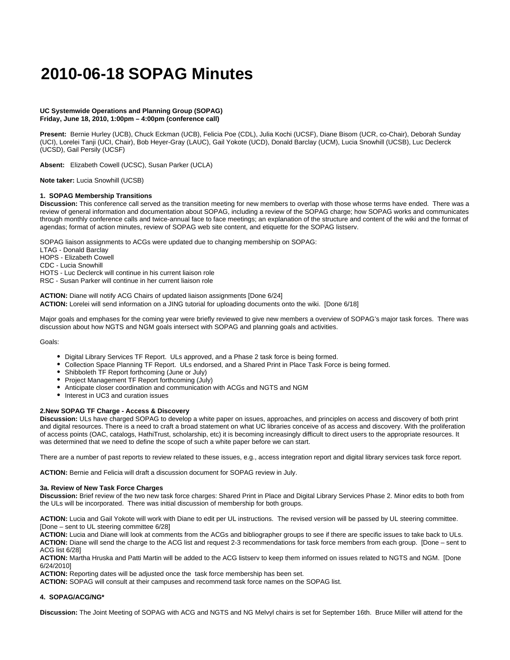# **2010-06-18 SOPAG Minutes**

# **UC Systemwide Operations and Planning Group (SOPAG) Friday, June 18, 2010, 1:00pm – 4:00pm (conference call)**

**Present:** Bernie Hurley (UCB), Chuck Eckman (UCB), Felicia Poe (CDL), Julia Kochi (UCSF), Diane Bisom (UCR, co-Chair), Deborah Sunday (UCI), Lorelei Tanji (UCI, Chair), Bob Heyer-Gray (LAUC), Gail Yokote (UCD), Donald Barclay (UCM), Lucia Snowhill (UCSB), Luc Declerck (UCSD), Gail Persily (UCSF)

**Absent:** Elizabeth Cowell (UCSC), Susan Parker (UCLA)

**Note taker:** Lucia Snowhill (UCSB)

# **1. SOPAG Membership Transitions**

**Discussion:** This conference call served as the transition meeting for new members to overlap with those whose terms have ended. There was a review of general information and documentation about SOPAG, including a review of the SOPAG charge; how SOPAG works and communicates through monthly conference calls and twice-annual face to face meetings; an explanation of the structure and content of the wiki and the format of agendas; format of action minutes, review of SOPAG web site content, and etiquette for the SOPAG listserv.

SOPAG liaison assignments to ACGs were updated due to changing membership on SOPAG:

LTAG - Donald Barclay

HOPS - Elizabeth Cowell

CDC - Lucia Snowhill

HOTS - Luc Declerck will continue in his current liaison role RSC - Susan Parker will continue in her current liaison role

**ACTION:** Diane will notify ACG Chairs of updated liaison assignments [Done 6/24] **ACTION:** Lorelei will send information on a JING tutorial for uploading documents onto the wiki. [Done 6/18]

Major goals and emphases for the coming year were briefly reviewed to give new members a overview of SOPAG's major task forces. There was discussion about how NGTS and NGM goals intersect with SOPAG and planning goals and activities.

Goals:

- Digital Library Services TF Report. ULs approved, and a Phase 2 task force is being formed.
- Collection Space Planning TF Report. ULs endorsed, and a Shared Print in Place Task Force is being formed.
- Shibboleth TF Report forthcoming (June or July)
- Project Management TF Report forthcoming (July)
- Anticipate closer coordination and communication with ACGs and NGTS and NGM
- Interest in UC3 and curation issues

# **2.New SOPAG TF Charge - Access & Discovery**

**Discussion:** ULs have charged SOPAG to develop a white paper on issues, approaches, and principles on access and discovery of both print and digital resources. There is a need to craft a broad statement on what UC libraries conceive of as access and discovery. With the proliferation of access points (OAC, catalogs, HathiTrust, scholarship, etc) it is becoming increasingly difficult to direct users to the appropriate resources. It was determined that we need to define the scope of such a white paper before we can start.

There are a number of past reports to review related to these issues, e.g., access integration report and digital library services task force report.

**ACTION:** Bernie and Felicia will draft a discussion document for SOPAG review in July.

# **3a. Review of New Task Force Charges**

**Discussion:** Brief review of the two new task force charges: Shared Print in Place and Digital Library Services Phase 2. Minor edits to both from the ULs will be incorporated. There was initial discussion of membership for both groups.

**ACTION:** Lucia and Gail Yokote will work with Diane to edit per UL instructions. The revised version will be passed by UL steering committee. [Done – sent to UL steering committee 6/28]

**ACTION:** Lucia and Diane will look at comments from the ACGs and bibliographer groups to see if there are specific issues to take back to ULs. **ACTION:** Diane will send the charge to the ACG list and request 2-3 recommendations for task force members from each group. [Done – sent to ACG list 6/28]

**ACTION:** Martha Hruska and Patti Martin will be added to the ACG listserv to keep them informed on issues related to NGTS and NGM. [Done 6/24/2010]

**ACTION:** Reporting dates will be adjusted once the task force membership has been set.

**ACTION:** SOPAG will consult at their campuses and recommend task force names on the SOPAG list.

# **4. SOPAG/ACG/NG\***

**Discussion:** The Joint Meeting of SOPAG with ACG and NGTS and NG Melvyl chairs is set for September 16th. Bruce Miller will attend for the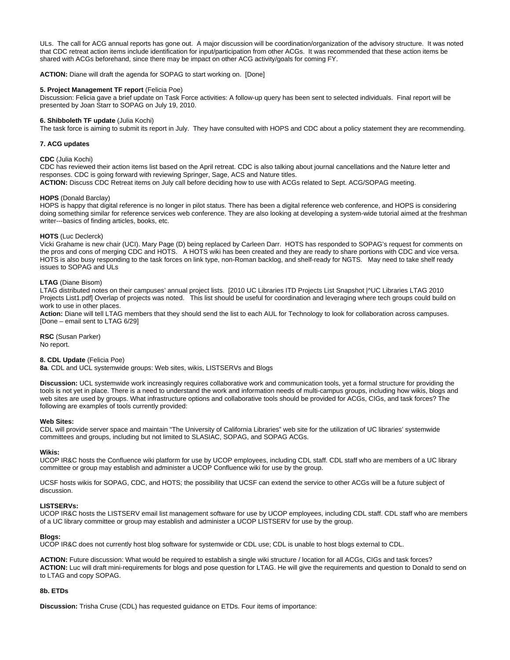ULs. The call for ACG annual reports has gone out. A major discussion will be coordination/organization of the advisory structure. It was noted that CDC retreat action items include identification for input/participation from other ACGs. It was recommended that these action items be shared with ACGs beforehand, since there may be impact on other ACG activity/goals for coming FY.

**ACTION:** Diane will draft the agenda for SOPAG to start working on. [Done]

# **5. Project Management TF report** (Felicia Poe)

Discussion: Felicia gave a brief update on Task Force activities: A follow-up query has been sent to selected individuals. Final report will be presented by Joan Starr to SOPAG on July 19, 2010.

## **6. Shibboleth TF update** (Julia Kochi)

The task force is aiming to submit its report in July. They have consulted with HOPS and CDC about a policy statement they are recommending.

## **7. ACG updates**

## **CDC** (Julia Kochi)

CDC has reviewed their action items list based on the April retreat. CDC is also talking about journal cancellations and the Nature letter and responses. CDC is going forward with reviewing Springer, Sage, ACS and Nature titles. **ACTION:** Discuss CDC Retreat items on July call before deciding how to use with ACGs related to Sept. ACG/SOPAG meeting.

## **HOPS** (Donald Barclay)

HOPS is happy that digital reference is no longer in pilot status. There has been a digital reference web conference, and HOPS is considering doing something similar for reference services web conference. They are also looking at developing a system-wide tutorial aimed at the freshman writer---basics of finding articles, books, etc.

# **HOTS** (Luc Declerck)

Vicki Grahame is new chair (UCI). Mary Page (D) being replaced by Carleen Darr. HOTS has responded to SOPAG's request for comments on the pros and cons of merging CDC and HOTS. A HOTS wiki has been created and they are ready to share portions with CDC and vice versa. HOTS is also busy responding to the task forces on link type, non-Roman backlog, and shelf-ready for NGTS. May need to take shelf ready issues to SOPAG and ULs

## **LTAG** (Diane Bisom)

LTAG distributed notes on their campuses' annual project lists. [2010 UC Libraries ITD Projects List Snapshot |^UC Libraries LTAG 2010 Projects List1.pdf] Overlap of projects was noted. This list should be useful for coordination and leveraging where tech groups could build on work to use in other places.

**Action:** Diane will tell LTAG members that they should send the list to each AUL for Technology to look for collaboration across campuses. [Done – email sent to LTAG 6/29]

**RSC** (Susan Parker) No report.

# **8. CDL Update** (Felicia Poe)

**8a**. CDL and UCL systemwide groups: Web sites, wikis, LISTSERVs and Blogs

**Discussion:** UCL systemwide work increasingly requires collaborative work and communication tools, yet a formal structure for providing the tools is not yet in place. There is a need to understand the work and information needs of multi-campus groups, including how wikis, blogs and web sites are used by groups. What infrastructure options and collaborative tools should be provided for ACGs, CIGs, and task forces? The following are examples of tools currently provided:

#### **Web Sites:**

CDL will provide server space and maintain "The University of California Libraries" web site for the utilization of UC libraries' systemwide committees and groups, including but not limited to SLASIAC, SOPAG, and SOPAG ACGs.

#### **Wikis:**

UCOP IR&C hosts the Confluence wiki platform for use by UCOP employees, including CDL staff. CDL staff who are members of a UC library committee or group may establish and administer a UCOP Confluence wiki for use by the group.

UCSF hosts wikis for SOPAG, CDC, and HOTS; the possibility that UCSF can extend the service to other ACGs will be a future subject of discussion.

# **LISTSERVs:**

UCOP IR&C hosts the LISTSERV email list management software for use by UCOP employees, including CDL staff. CDL staff who are members of a UC library committee or group may establish and administer a UCOP LISTSERV for use by the group.

# **Blogs:**

UCOP IR&C does not currently host blog software for systemwide or CDL use; CDL is unable to host blogs external to CDL.

**ACTION:** Future discussion: What would be required to establish a single wiki structure / location for all ACGs, CIGs and task forces? **ACTION:** Luc will draft mini-requirements for blogs and pose question for LTAG. He will give the requirements and question to Donald to send on to LTAG and copy SOPAG.

## **8b. ETDs**

**Discussion:** Trisha Cruse (CDL) has requested guidance on ETDs. Four items of importance: